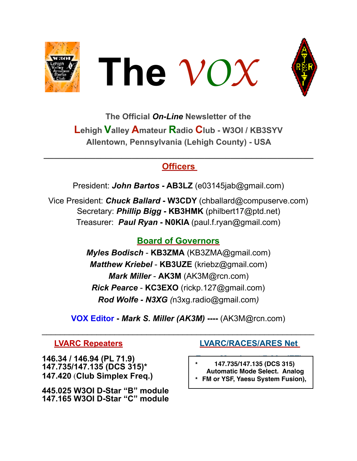





**The Official** *On-Line* **Newsletter of the Lehigh Valley Amateur Radio Club - W3OI / KB3SYV Allentown, Pennsylvania (Lehigh County) - USA** 

# **Officers**

**\_\_\_\_\_\_\_\_\_\_\_\_\_\_\_\_\_\_\_\_\_\_\_\_\_\_\_\_\_\_\_\_\_\_\_\_\_\_\_\_\_\_\_\_\_\_\_\_\_\_\_\_** 

President: *John Bartos* **- AB3LZ** [\(e03145jab@gmail.com](mailto:e03145jab@gmail.com))

Vice President: *Chuck Ballard* **- W3CDY** [\(chballard@compuserve.com\)](mailto:chballard@compuserve.com) Secretary: *Phillip Bigg* **- KB3HMK** [\(philbert17@ptd.net](mailto:philbert17@ptd.net)) Treasurer: *Paul Ryan* **- N0KIA** [\(paul.f.ryan@gmail.com](mailto:paul.f.ryan@gmail.com))

# **Board of Governors**

*Myles Bodisch* - **KB3ZMA** [\(KB3ZMA@gmail.com](mailto:KB3ZMA@gmail.com)) *Matthew Kriebel* - **KB3UZE** [\(kriebz@gmail.com\)](mailto:kriebz@gmail.com) *Mark Miller* - **AK3M** ([AK3M@rcn.com\)](mailto:AK3M@rcn.com) *Rick Pearce* - **KC3EXO** ([rickp.127@gmail.com\)](mailto:rickp.127@gmail.com) *Rod Wolfe - N3XG (*[n3xg.radio@gmail.com](mailto:n3xg.radio@gmail.com)*)* 

**VOX Editor -** *Mark S. Miller (AK3M)* **----** (AK3M@rcn.com)

 $\mathcal{L}_\text{max}$  , and the contract of the contract of the contract of the contract of the contract of the contract of the contract of the contract of the contract of the contract of the contract of the contract of the contr

146.34 / 146.94 (PL 71.9) **147.735/147.135 (DCS 315)\* on the 94 repeater. 147.420** (**Club Simplex Freq.)** 

**445.025 W3OI D-Star "B" module 147.165 W3OI D-Star "C" module** 

# **LVARC Repeaters LVARC/RACES/ARES Net**

- **\* 147.735/147.135 (DCS 315) Automatic Mode Select. Analog**
- **\* FM or YSF, Yaesu System Fusion),**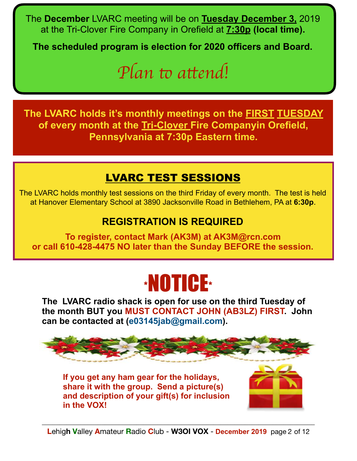The **December** LVARC meeting will be on **Tuesday December 3,** 2019 at the Tri-Clover Fire Company in Orefield at **7:30p (local time).** 

The scheduled program is election for 2020 officers and Board.

# *ALL are welcome to check in! Plan* t *a*t*end!*

**The LVARC holds it's monthly meetings on the FIRST TUESDAY of every month at the Tri-Clover Fire Companyin Orefield, Pennsylvania at 7:30p Eastern time.**

# LVARC TEST SESSIONS

The LVARC holds monthly test sessions on the third Friday of every month. The test is held at Hanover Elementary School at 3890 Jacksonville Road in Bethlehem, PA at **6:30p**.

# **REGISTRATION IS REQUIRED**

**To register, contact Mark (AK3M) at [AK3M@rcn.com](mailto:AK3M@rcn.com)  or call 610-428-4475 NO later than the Sunday BEFORE the session.**

# \*NOTICE\*

The LVARC radio shack is open for use on the third Tuesday of **the month BUT you MUST CONTACT JOHN (AB3LZ) FIRST. John can be contacted at [\(e03145jab@gmail.com\)](mailto:e03145jab@gmail.com).** 



**If you get any ham gear for the holidays, share it with the group. Send a picture(s) and description of your gift(s) for inclusion in the VOX!** 

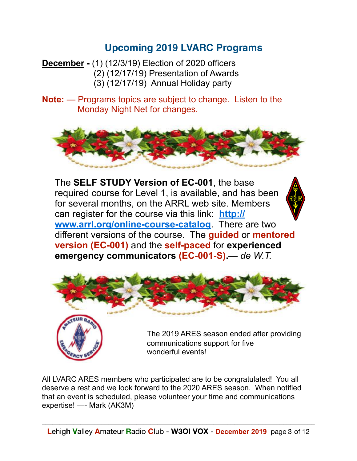# **Upcoming 2019 LVARC Programs**

**December -** (1) (12/3/19) Election of 2020 officers (2) (12/17/19) Presentation of Awards (3) (12/17/19) Annual Holiday party

**Note:** — Programs topics are subject to change. Listen to the Monday Night Net for changes.



The **SELF STUDY Version of EC-001**, the base required course for Level 1, is available, and has been for several months, on the ARRL web site. Members can register for the course via this link: **[http://](http://www.arrl.org/online-course-catalog) [www.arrl.org/online-course-catalog](http://www.arrl.org/online-course-catalog)**. There are two different versions of the course. The **guided** or **mentored version (EC-001)** and the **self-paced** for **experienced emergency communicators (EC-001-S).**— *de W.T.* 



 communications support for five wonderful events!

All LVARC ARES members who participated are to be congratulated! You all deserve a rest and we look forward to the 2020 ARES season. When notified that an event is scheduled, please volunteer your time and communications expertise! —- Mark (AK3M)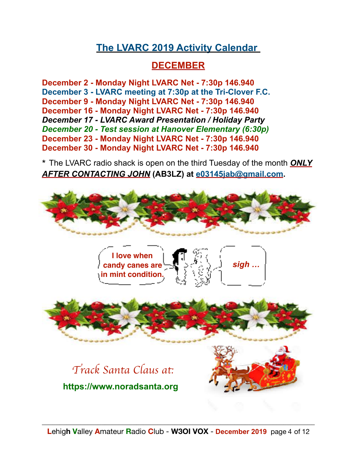# **The LVARC 2019 Activity Calendar**

# **DECEMBER**

**December 2 - Monday Night LVARC Net - 7:30p 146.940 December 3 - LVARC meeting at 7:30p at the Tri-Clover F.C. December 9 - Monday Night LVARC Net - 7:30p 146.940 December 16 - Monday Night LVARC Net - 7:30p 146.940**  *December 17 - LVARC Award Presentation / Holiday Party December 20 - Test session at Hanover Elementary (6:30p)*  **December 23 - Monday Night LVARC Net - 7:30p 146.940 December 30 - Monday Night LVARC Net - 7:30p 146.940** 

\* The LVARC radio shack is open on the third Tuesday of the month *ONLY AFTER CONTACTING JOHN* **(AB3LZ) at [e03145jab@gmail.com](mailto:e03145jab@gmail.com).**

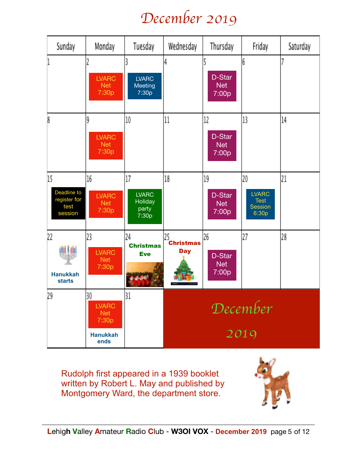# *December 2019*

| Sunday                                               | Monday                                                               | Tuesday                                         | Wednesday                            | Thursday                            | Friday                                                       | Saturday |
|------------------------------------------------------|----------------------------------------------------------------------|-------------------------------------------------|--------------------------------------|-------------------------------------|--------------------------------------------------------------|----------|
|                                                      | <b>LVARC</b><br><b>Net</b><br>7:30p                                  | <b>LVARC</b><br>Meeting<br>7:30p                | 4                                    | D-Star<br><b>Net</b><br>7:00p       | 6                                                            |          |
| 8                                                    | 9<br><b>LVARC</b><br><b>Net</b><br>7:30p                             | 10                                              | 11                                   | 12<br>D-Star<br><b>Net</b><br>7:00p | 13                                                           | 14       |
| 15<br>Deadline to<br>register for<br>test<br>session | 16<br><b>LVARC</b><br><b>Net</b><br>7:30p                            | 17<br><b>LVARC</b><br>Holiday<br>party<br>7:30p | 18                                   | 19<br>D-Star<br><b>Net</b><br>7:00p | 20<br><b>LVARC</b><br><b>Test</b><br><b>Session</b><br>6:30p | 21       |
| 22<br><b>Hanukkah</b><br><b>starts</b>               | 23<br><b>LVARC</b><br><b>Net</b><br>7:30p                            | 24<br><b>Christmas</b><br><b>Eve</b>            | 25<br><b>Christmas</b><br><b>Day</b> | 26<br>D-Star<br>Net<br>7:00p        | 27                                                           | 28       |
| 29                                                   | 30<br><b>LVARC</b><br><b>Net</b><br>7:30p<br><b>Hanukkah</b><br>ends | 31                                              | December<br>2019                     |                                     |                                                              |          |

Rudolph first appeared in a 1939 booklet written by [Robert L. May](https://en.wikipedia.org/wiki/Robert_L._May) and published by [Montgomery Ward,](https://en.wikipedia.org/wiki/Montgomery_Ward) the department store.

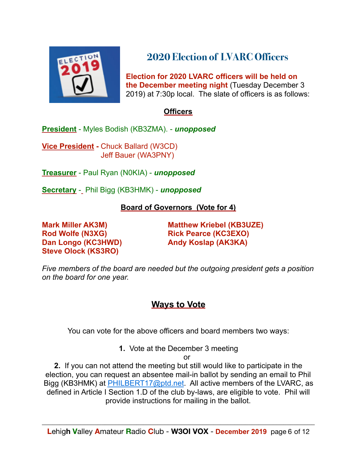

# **2020 Election of LVARC Officers**

 **Election for 2020 LVARC officers will be held on the December meeting night** (Tuesday December 3 2019) at 7:30p local. The slate of officers is as follows:

#### **Officers**

**President** - Myles Bodish (KB3ZMA). - *unopposed* 

**Vice President -** Chuck Ballard (W3CD) Jeff Bauer (WA3PNY)

**Treasurer** - Paul Ryan (N0KIA) - *unopposed*

**Secretary** - Phil Bigg (KB3HMK) - *unopposed*

#### **Board of Governors (Vote for 4)**

Dan Longo (KC3HWD) **Andy Koslap (AK3KA) Steve Olock (KS3RO)** 

**Mark Miller AK3M) Matthew Kriebel (KB3UZE) Rod Wolfe (N3XG) Rick Pearce (KC3EXO)** 

*Five members of the board are needed but the outgoing president gets a position on the board for one year.* 

# **Ways to Vote**

You can vote for the above officers and board members two ways:

**1.** Vote at the December 3 meeting

or

**2.** If you can not attend the meeting but still would like to participate in the election, you can request an absentee mail-in ballot by sending an email to Phil Bigg (KB3HMK) at **PHILBERT17@ptd.net.** All active members of the LVARC, as defined in Article I Section 1.D of the club by-laws, are eligible to vote. Phil will provide instructions for mailing in the ballot.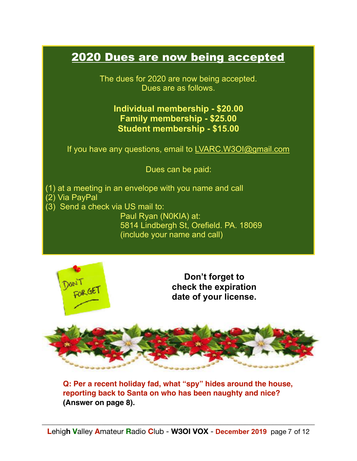# 2020 Dues are now being accepted

The dues for 2020 are now being accepted. Dues are as follows.

#### **Individual membership - \$20.00 Family membership - \$25.00 Student membership - \$15.00**

If you have any questions, email to [LVARC.W3OI@gmail.com](mailto:LVARC.W3OI@gmail.com)

Dues can be paid:

(1) at a meeting in an envelope with you name and call

- (2) Via PayPal
- (3) Send a check via US mail to:

 Paul Ryan (N0KIA) at: 5814 Lindbergh St, Orefield. PA. 18069 (include your name and call)



**Don't forget to check the expiration date of your license.**



**Q: Per a recent holiday fad, what "spy" hides around the house, reporting back to Santa on who has been naughty and nice? (Answer on page 8).**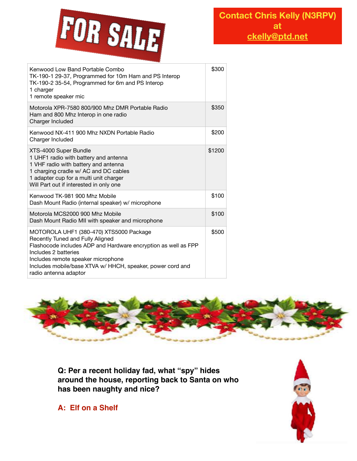

| Kenwood Low Band Portable Combo<br>TK-190-1 29-37, Programmed for 10m Ham and PS Interop<br>TK-190-2 35-54, Programmed for 6m and PS Interop<br>1 charger<br>1 remote speaker mic                                                                                                                  | \$300  |
|----------------------------------------------------------------------------------------------------------------------------------------------------------------------------------------------------------------------------------------------------------------------------------------------------|--------|
| Motorola XPR-7580 800/900 Mhz DMR Portable Radio<br>Ham and 800 Mhz Interop in one radio<br>Charger Included                                                                                                                                                                                       | \$350  |
| Kenwood NX-411 900 Mhz NXDN Portable Radio<br>Charger Included                                                                                                                                                                                                                                     | \$200  |
| XTS-4000 Super Bundle<br>1 UHF1 radio with battery and antenna<br>1 VHF radio with battery and antenna<br>1 charging cradle w/ AC and DC cables<br>1 adapter cup for a multi unit charger<br>Will Part out if interested in only one                                                               | \$1200 |
| Kenwood TK-981 900 Mhz Mobile<br>Dash Mount Radio (internal speaker) w/ microphone                                                                                                                                                                                                                 | \$100  |
| Motorola MCS2000 900 Mhz Mobile<br>Dash Mount Radio MII with speaker and microphone                                                                                                                                                                                                                | \$100  |
| MOTOROLA UHF1 (380-470) XTS5000 Package<br>Recently Tuned and Fully Aligned<br>Flashocode includes ADP and Hardware encryption as well as FPP<br>Includes 2 batteries<br>Includes remote speaker microphone<br>Includes mobile/base XTVA w/ HHCH, speaker, power cord and<br>radio antenna adaptor | \$500  |



**Q: Per a recent holiday fad, what "spy" hides around the house, reporting back to Santa on who has been naughty and nice?**

**A: Elf on a Shelf**

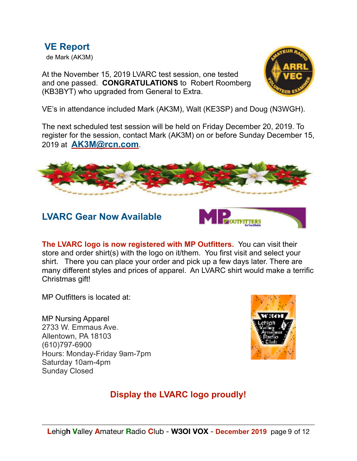**VE Report** de Mark (AK3M)

At the November 15, 2019 LVARC test session, one tested and one passed. **CONGRATULATIONS** to Robert Roomberg (KB3BYT) who upgraded from General to Extra.



VE's in attendance included Mark (AK3M), Walt (KE3SP) and Doug (N3WGH).

The next scheduled test session will be held on Friday December 20, 2019. To register for the session, contact Mark (AK3M) on or before Sunday December 15, 2019 at **[AK3M@rcn.com](mailto:AK3M@rcn.com)**.



### **LVARC Gear Now Available**



**The LVARC logo is now registered with MP Outfitters.** You can visit their store and order shirt(s) with the logo on it/them. You first visit and select your shirt. There you can place your order and pick up a few days later. There are many different styles and prices of apparel. An LVARC shirt would make a terrific Christmas gift!

MP Outfitters is located at:

MP Nursing Apparel 2733 W. Emmaus Ave. Allentown, PA 18103 (610)797-6900 Hours: Monday-Friday 9am-7pm Saturday 10am-4pm Sunday Closed



# **Display the LVARC logo proudly!**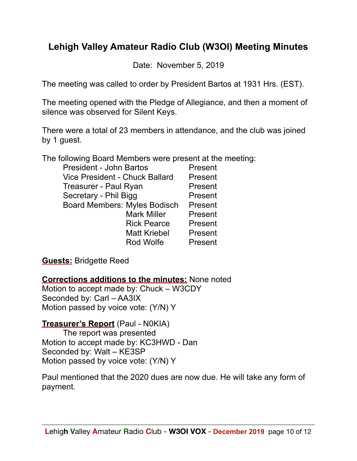# **Lehigh Valley Amateur Radio Club (W3OI) Meeting Minutes**

Date: November 5, 2019

The meeting was called to order by President Bartos at 1931 Hrs. (EST).

The meeting opened with the Pledge of Allegiance, and then a moment of silence was observed for Silent Keys.

There were a total of 23 members in attendance, and the club was joined by 1 guest.

The following Board Members were present at the meeting:

| <b>President - John Bartos</b>        | Present |
|---------------------------------------|---------|
| <b>Vice President - Chuck Ballard</b> | Present |
| Treasurer - Paul Ryan                 | Present |
| Secretary - Phil Bigg                 | Present |
| <b>Board Members: Myles Bodisch</b>   | Present |
| <b>Mark Miller</b>                    | Present |
| <b>Rick Pearce</b>                    | Present |
| <b>Matt Kriebel</b>                   | Present |
| Rod Wolfe                             | Present |

**Guests:** Bridgette Reed

**Corrections additions to the minutes:** None noted Motion to accept made by: Chuck – W3CDY Seconded by: Carl – AA3IX Motion passed by voice vote: (Y/N) Y

# **Treasurer's Report** (Paul - N0KIA)

 The report was presented Motion to accept made by: KC3HWD - Dan Seconded by: Walt – KE3SP Motion passed by voice vote: (Y/N) Y

Paul mentioned that the 2020 dues are now due. He will take any form of payment.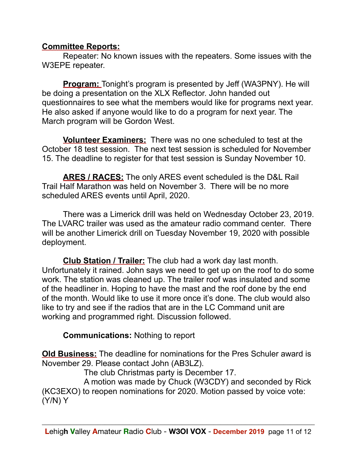#### **Committee Reports:**

 Repeater: No known issues with the repeaters. Some issues with the W3EPE repeater.

**Program:** Tonight's program is presented by Jeff (WA3PNY). He will be doing a presentation on the XLX Reflector. John handed out questionnaires to see what the members would like for programs next year. He also asked if anyone would like to do a program for next year. The March program will be Gordon West.

**Volunteer Examiners:** There was no one scheduled to test at the October 18 test session. The next test session is scheduled for November 15. The deadline to register for that test session is Sunday November 10.

**ARES / RACES:** The only ARES event scheduled is the D&L Rail Trail Half Marathon was held on November 3. There will be no more scheduled ARES events until April, 2020.

There was a Limerick drill was held on Wednesday October 23, 2019. The LVARC trailer was used as the amateur radio command center. There will be another Limerick drill on Tuesday November 19, 2020 with possible deployment.

**Club Station / Trailer:** The club had a work day last month. Unfortunately it rained. John says we need to get up on the roof to do some work. The station was cleaned up. The trailer roof was insulated and some of the headliner in. Hoping to have the mast and the roof done by the end of the month. Would like to use it more once it's done. The club would also like to try and see if the radios that are in the LC Command unit are working and programmed right. Discussion followed.

**Communications:** Nothing to report

**Old Business:** The deadline for nominations for the Pres Schuler award is November 29. Please contact John (AB3LZ).

The club Christmas party is December 17.

 A motion was made by Chuck (W3CDY) and seconded by Rick (KC3EXO) to reopen nominations for 2020. Motion passed by voice vote: (Y/N) Y